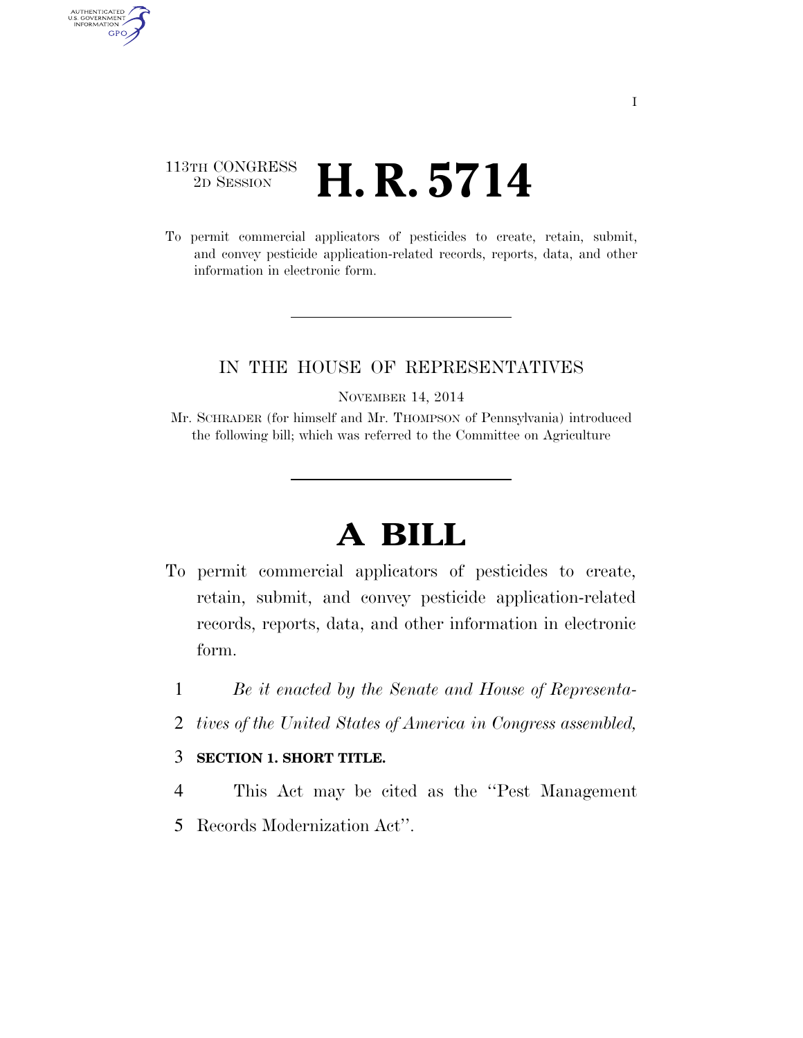## $\begin{array}{c} \textbf{113TH CONGRESS} \\ \textbf{2D} \textbf{Session} \end{array}$ **H. R. 5714**

AUTHENTICATED<br>U.S. GOVERNMENT<br>INFORMATION GPO

> To permit commercial applicators of pesticides to create, retain, submit, and convey pesticide application-related records, reports, data, and other information in electronic form.

## IN THE HOUSE OF REPRESENTATIVES

NOVEMBER 14, 2014

Mr. SCHRADER (for himself and Mr. THOMPSON of Pennsylvania) introduced the following bill; which was referred to the Committee on Agriculture

## **A BILL**

- To permit commercial applicators of pesticides to create, retain, submit, and convey pesticide application-related records, reports, data, and other information in electronic form.
	- 1 *Be it enacted by the Senate and House of Representa-*
	- 2 *tives of the United States of America in Congress assembled,*

## 3 **SECTION 1. SHORT TITLE.**

- 4 This Act may be cited as the ''Pest Management
- 5 Records Modernization Act''.